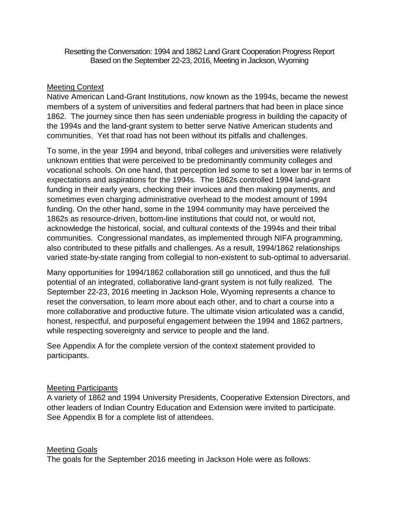Resetting the Conversation: 1994 and 1862 Land Grant Cooperation Progress Report Based on the September 22-23, 2016, Meeting in Jackson, Wyoming

## Meeting Context

Native American Land-Grant Institutions, now known as the 1994s, became the newest members of a system of universities and federal partners that had been in place since 1862. The journey since then has seen undeniable progress in building the capacity of the 1994s and the land-grant system to better serve Native American students and communities. Yet that road has not been without its pitfalls and challenges.

To some, in the year 1994 and beyond, tribal colleges and universities were relatively unknown entities that were perceived to be predominantly community colleges and vocational schools. On one hand, that perception led some to set a lower bar in terms of expectations and aspirations for the 1994s. The 1862s controlled 1994 land-grant funding in their early years, checking their invoices and then making payments, and sometimes even charging administrative overhead to the modest amount of 1994 funding. On the other hand, some in the 1994 community may have perceived the 1862s as resource-driven, bottom-line institutions that could not, or would not, acknowledge the historical, social, and cultural contexts of the 1994s and their tribal communities. Congressional mandates, as implemented through NIFA programming, also contributed to these pitfalls and challenges. As a result, 1994/1862 relationships varied state-by-state ranging from collegial to non-existent to sub-optimal to adversarial.

Many opportunities for 1994/1862 collaboration still go unnoticed, and thus the full potential of an integrated, collaborative land-grant system is not fully realized. The September 22-23, 2016 meeting in Jackson Hole, Wyoming represents a chance to reset the conversation, to learn more about each other, and to chart a course into a more collaborative and productive future. The ultimate vision articulated was a candid, honest, respectful, and purposeful engagement between the 1994 and 1862 partners, while respecting sovereignty and service to people and the land.

See Appendix A for the complete version of the context statement provided to participants.

### Meeting Participants

A variety of 1862 and 1994 University Presidents, Cooperative Extension Directors, and other leaders of Indian Country Education and Extension were invited to participate. See Appendix B for a complete list of attendees.

## Meeting Goals

The goals for the September 2016 meeting in Jackson Hole were as follows: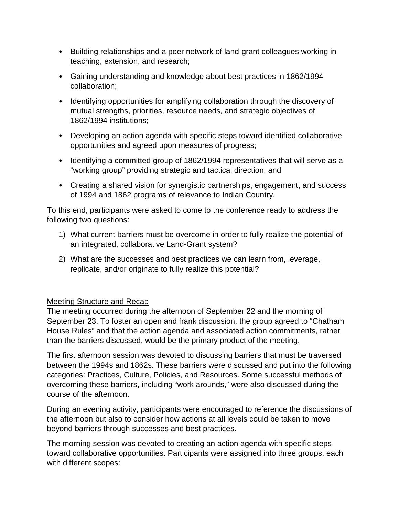- Building relationships and a peer network of land-grant colleagues working in teaching, extension, and research;
- Gaining understanding and knowledge about best practices in 1862/1994 collaboration;
- Identifying opportunities for amplifying collaboration through the discovery of mutual strengths, priorities, resource needs, and strategic objectives of 1862/1994 institutions;
- Developing an action agenda with specific steps toward identified collaborative opportunities and agreed upon measures of progress;
- Identifying a committed group of 1862/1994 representatives that will serve as a "working group" providing strategic and tactical direction; and
- Creating a shared vision for synergistic partnerships, engagement, and success of 1994 and 1862 programs of relevance to Indian Country.

To this end, participants were asked to come to the conference ready to address the following two questions:

- 1) What current barriers must be overcome in order to fully realize the potential of an integrated, collaborative Land-Grant system?
- 2) What are the successes and best practices we can learn from, leverage, replicate, and/or originate to fully realize this potential?

## Meeting Structure and Recap

The meeting occurred during the afternoon of September 22 and the morning of September 23. To foster an open and frank discussion, the group agreed to "Chatham House Rules" and that the action agenda and associated action commitments, rather than the barriers discussed, would be the primary product of the meeting.

The first afternoon session was devoted to discussing barriers that must be traversed between the 1994s and 1862s. These barriers were discussed and put into the following categories: Practices, Culture, Policies, and Resources. Some successful methods of overcoming these barriers, including "work arounds," were also discussed during the course of the afternoon.

During an evening activity, participants were encouraged to reference the discussions of the afternoon but also to consider how actions at all levels could be taken to move beyond barriers through successes and best practices.

The morning session was devoted to creating an action agenda with specific steps toward collaborative opportunities. Participants were assigned into three groups, each with different scopes: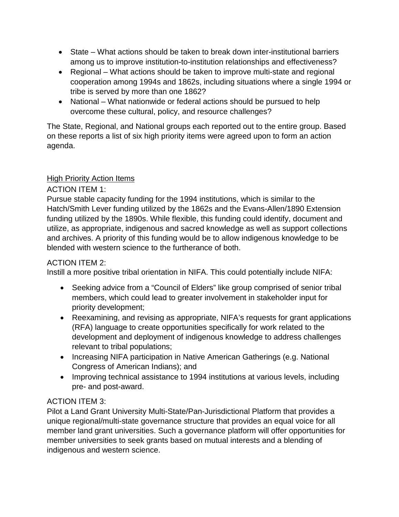- State What actions should be taken to break down inter-institutional barriers among us to improve institution-to-institution relationships and effectiveness?
- Regional What actions should be taken to improve multi-state and regional cooperation among 1994s and 1862s, including situations where a single 1994 or tribe is served by more than one 1862?
- National What nationwide or federal actions should be pursued to help overcome these cultural, policy, and resource challenges?

The State, Regional, and National groups each reported out to the entire group. Based on these reports a list of six high priority items were agreed upon to form an action agenda.

# **High Priority Action Items**

# ACTION ITEM 1:

Pursue stable capacity funding for the 1994 institutions, which is similar to the Hatch/Smith Lever funding utilized by the 1862s and the Evans-Allen/1890 Extension funding utilized by the 1890s. While flexible, this funding could identify, document and utilize, as appropriate, indigenous and sacred knowledge as well as support collections and archives. A priority of this funding would be to allow indigenous knowledge to be blended with western science to the furtherance of both.

## ACTION ITEM 2:

Instill a more positive tribal orientation in NIFA. This could potentially include NIFA:

- Seeking advice from a "Council of Elders" like group comprised of senior tribal members, which could lead to greater involvement in stakeholder input for priority development;
- Reexamining, and revising as appropriate, NIFA's requests for grant applications (RFA) language to create opportunities specifically for work related to the development and deployment of indigenous knowledge to address challenges relevant to tribal populations;
- Increasing NIFA participation in Native American Gatherings (e.g. National Congress of American Indians); and
- Improving technical assistance to 1994 institutions at various levels, including pre- and post-award.

# ACTION ITEM 3:

Pilot a Land Grant University Multi-State/Pan-Jurisdictional Platform that provides a unique regional/multi-state governance structure that provides an equal voice for all member land grant universities. Such a governance platform will offer opportunities for member universities to seek grants based on mutual interests and a blending of indigenous and western science.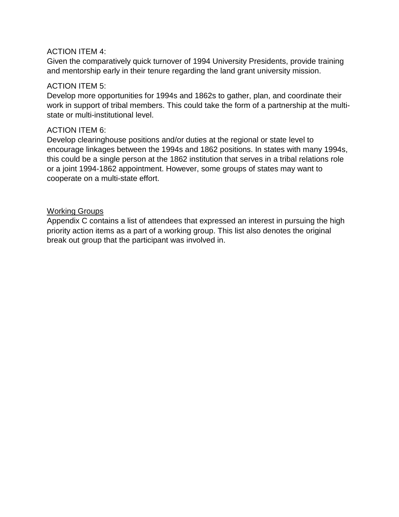### ACTION ITEM 4:

Given the comparatively quick turnover of 1994 University Presidents, provide training and mentorship early in their tenure regarding the land grant university mission.

#### ACTION ITEM 5:

Develop more opportunities for 1994s and 1862s to gather, plan, and coordinate their work in support of tribal members. This could take the form of a partnership at the multistate or multi-institutional level.

#### ACTION ITEM 6:

Develop clearinghouse positions and/or duties at the regional or state level to encourage linkages between the 1994s and 1862 positions. In states with many 1994s, this could be a single person at the 1862 institution that serves in a tribal relations role or a joint 1994-1862 appointment. However, some groups of states may want to cooperate on a multi-state effort.

### Working Groups

Appendix C contains a list of attendees that expressed an interest in pursuing the high priority action items as a part of a working group. This list also denotes the original break out group that the participant was involved in.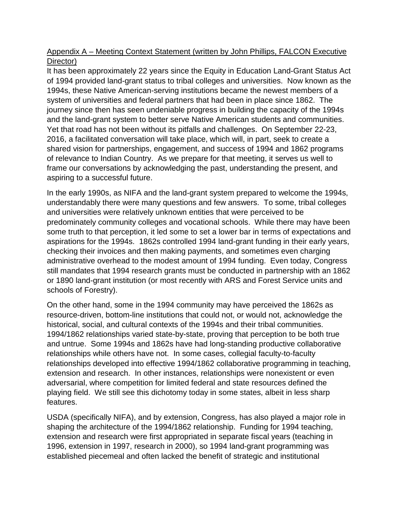# Appendix A – Meeting Context Statement (written by John Phillips, FALCON Executive Director)

It has been approximately 22 years since the Equity in Education Land-Grant Status Act of 1994 provided land-grant status to tribal colleges and universities. Now known as the 1994s, these Native American-serving institutions became the newest members of a system of universities and federal partners that had been in place since 1862. The journey since then has seen undeniable progress in building the capacity of the 1994s and the land-grant system to better serve Native American students and communities. Yet that road has not been without its pitfalls and challenges. On September 22-23, 2016, a facilitated conversation will take place, which will, in part, seek to create a shared vision for partnerships, engagement, and success of 1994 and 1862 programs of relevance to Indian Country. As we prepare for that meeting, it serves us well to frame our conversations by acknowledging the past, understanding the present, and aspiring to a successful future.

In the early 1990s, as NIFA and the land-grant system prepared to welcome the 1994s, understandably there were many questions and few answers. To some, tribal colleges and universities were relatively unknown entities that were perceived to be predominately community colleges and vocational schools. While there may have been some truth to that perception, it led some to set a lower bar in terms of expectations and aspirations for the 1994s. 1862s controlled 1994 land-grant funding in their early years, checking their invoices and then making payments, and sometimes even charging administrative overhead to the modest amount of 1994 funding. Even today, Congress still mandates that 1994 research grants must be conducted in partnership with an 1862 or 1890 land-grant institution (or most recently with ARS and Forest Service units and schools of Forestry).

On the other hand, some in the 1994 community may have perceived the 1862s as resource-driven, bottom-line institutions that could not, or would not, acknowledge the historical, social, and cultural contexts of the 1994s and their tribal communities. 1994/1862 relationships varied state-by-state, proving that perception to be both true and untrue. Some 1994s and 1862s have had long-standing productive collaborative relationships while others have not. In some cases, collegial faculty-to-faculty relationships developed into effective 1994/1862 collaborative programming in teaching, extension and research. In other instances, relationships were nonexistent or even adversarial, where competition for limited federal and state resources defined the playing field. We still see this dichotomy today in some states, albeit in less sharp features.

USDA (specifically NIFA), and by extension, Congress, has also played a major role in shaping the architecture of the 1994/1862 relationship. Funding for 1994 teaching, extension and research were first appropriated in separate fiscal years (teaching in 1996, extension in 1997, research in 2000), so 1994 land-grant programming was established piecemeal and often lacked the benefit of strategic and institutional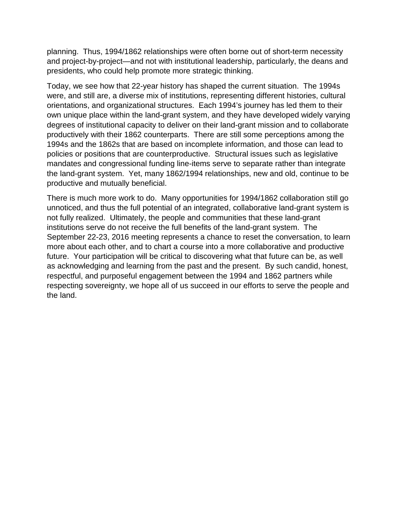planning. Thus, 1994/1862 relationships were often borne out of short-term necessity and project-by-project—and not with institutional leadership, particularly, the deans and presidents, who could help promote more strategic thinking.

Today, we see how that 22-year history has shaped the current situation. The 1994s were, and still are, a diverse mix of institutions, representing different histories, cultural orientations, and organizational structures. Each 1994's journey has led them to their own unique place within the land-grant system, and they have developed widely varying degrees of institutional capacity to deliver on their land-grant mission and to collaborate productively with their 1862 counterparts. There are still some perceptions among the 1994s and the 1862s that are based on incomplete information, and those can lead to policies or positions that are counterproductive. Structural issues such as legislative mandates and congressional funding line-items serve to separate rather than integrate the land-grant system. Yet, many 1862/1994 relationships, new and old, continue to be productive and mutually beneficial.

There is much more work to do. Many opportunities for 1994/1862 collaboration still go unnoticed, and thus the full potential of an integrated, collaborative land-grant system is not fully realized. Ultimately, the people and communities that these land-grant institutions serve do not receive the full benefits of the land-grant system. The September 22-23, 2016 meeting represents a chance to reset the conversation, to learn more about each other, and to chart a course into a more collaborative and productive future. Your participation will be critical to discovering what that future can be, as well as acknowledging and learning from the past and the present. By such candid, honest, respectful, and purposeful engagement between the 1994 and 1862 partners while respecting sovereignty, we hope all of us succeed in our efforts to serve the people and the land.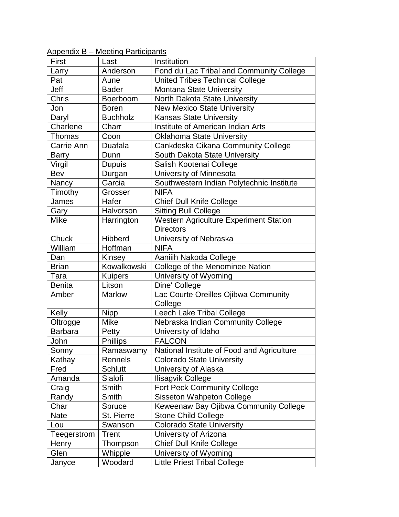| First          | Last            | Institution                                   |
|----------------|-----------------|-----------------------------------------------|
| Larry          | Anderson        | Fond du Lac Tribal and Community College      |
| Pat            | Aune            | <b>United Tribes Technical College</b>        |
| Jeff           | <b>Bader</b>    | Montana State University                      |
| <b>Chris</b>   | Boerboom        | North Dakota State University                 |
| Jon            | <b>Boren</b>    | <b>New Mexico State University</b>            |
| Daryl          | <b>Buchholz</b> | <b>Kansas State University</b>                |
| Charlene       | Charr           | <b>Institute of American Indian Arts</b>      |
| <b>Thomas</b>  | Coon            | <b>Oklahoma State University</b>              |
| Carrie Ann     | Duafala         | Cankdeska Cikana Community College            |
| Barry          | Dunn            | South Dakota State University                 |
| Virgil         | <b>Dupuis</b>   | Salish Kootenai College                       |
| Bev            | Durgan          | University of Minnesota                       |
| Nancy          | Garcia          | Southwestern Indian Polytechnic Institute     |
| Timothy        | Grosser         | <b>NIFA</b>                                   |
| James          | Hafer           | <b>Chief Dull Knife College</b>               |
| Gary           | Halvorson       | <b>Sitting Bull College</b>                   |
| <b>Mike</b>    | Harrington      | <b>Western Agriculture Experiment Station</b> |
|                |                 | <b>Directors</b>                              |
| Chuck          | Hibberd         | University of Nebraska                        |
| William        | Hoffman         | <b>NIFA</b>                                   |
| Dan            | Kinsey          | Aaniiih Nakoda College                        |
| <b>Brian</b>   | Kowalkowski     | College of the Menominee Nation               |
| Tara           | <b>Kuipers</b>  | University of Wyoming                         |
| <b>Benita</b>  | Litson          | Dine' College                                 |
| Amber          | Marlow          | Lac Courte Oreilles Ojibwa Community          |
|                |                 | College                                       |
| Kelly          | <b>Nipp</b>     | Leech Lake Tribal College                     |
| Oltrogge       | <b>Mike</b>     | Nebraska Indian Community College             |
| <b>Barbara</b> | Petty           | University of Idaho                           |
| John           | Phillips        | <b>FALCON</b>                                 |
| Sonny          | Ramaswamy       | National Institute of Food and Agriculture    |
| Kathay         | Rennels         | <b>Colorado State University</b>              |
| Fred           | Schlutt         | University of Alaska                          |
| Amanda         | Sialofi         | Ilisagvik College                             |
| Craig          | Smith           | Fort Peck Community College                   |
| Randy          | Smith           | Sisseton Wahpeton College                     |
| Char           | Spruce          | Keweenaw Bay Ojibwa Community College         |
| <b>Nate</b>    | St. Pierre      | <b>Stone Child College</b>                    |
| Lou            | Swanson         | <b>Colorado State University</b>              |
| Teegerstrom    | Trent           | University of Arizona                         |
| Henry          | Thompson        | <b>Chief Dull Knife College</b>               |
| Glen           | Whipple         | University of Wyoming                         |
| Janyce         | Woodard         | <b>Little Priest Tribal College</b>           |

Appendix B – Meeting Participants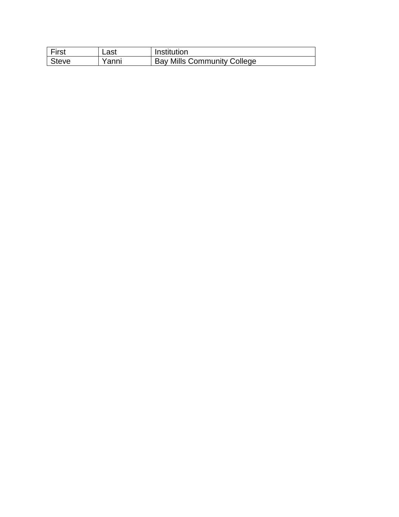| First | ∟ast  | Institution                        |
|-------|-------|------------------------------------|
| Steve | Yanni | <b>Bay Mills Community College</b> |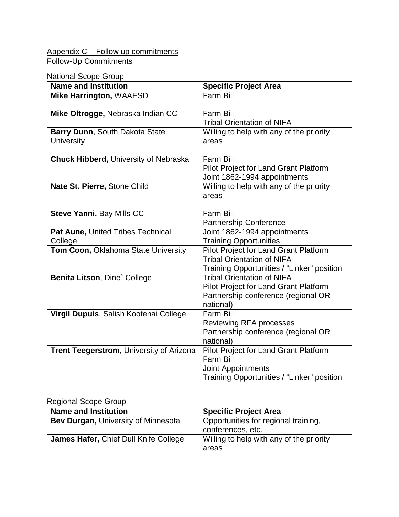# Appendix C – Follow up commitments Follow-Up Commitments

## National Scope Group

| <b>Name and Institution</b>                         | <b>Specific Project Area</b>                                                                                                    |
|-----------------------------------------------------|---------------------------------------------------------------------------------------------------------------------------------|
| Mike Harrington, WAAESD                             | <b>Farm Bill</b>                                                                                                                |
| Mike Oltrogge, Nebraska Indian CC                   | <b>Farm Bill</b><br><b>Tribal Orientation of NIFA</b>                                                                           |
| Barry Dunn, South Dakota State<br><b>University</b> | Willing to help with any of the priority<br>areas                                                                               |
| <b>Chuck Hibberd, University of Nebraska</b>        | Farm Bill<br><b>Pilot Project for Land Grant Platform</b><br>Joint 1862-1994 appointments                                       |
| Nate St. Pierre, Stone Child                        | Willing to help with any of the priority<br>areas                                                                               |
| Steve Yanni, Bay Mills CC                           | Farm Bill<br><b>Partnership Conference</b>                                                                                      |
| Pat Aune, United Tribes Technical<br>College        | Joint 1862-1994 appointments<br><b>Training Opportunities</b>                                                                   |
| Tom Coon, Oklahoma State University                 | <b>Pilot Project for Land Grant Platform</b><br><b>Tribal Orientation of NIFA</b><br>Training Opportunities / "Linker" position |
| Benita Litson, Dine` College                        | <b>Tribal Orientation of NIFA</b><br>Pilot Project for Land Grant Platform<br>Partnership conference (regional OR<br>national)  |
| Virgil Dupuis, Salish Kootenai College              | <b>Farm Bill</b><br><b>Reviewing RFA processes</b><br>Partnership conference (regional OR<br>national)                          |
| Trent Teegerstrom, University of Arizona            | Pilot Project for Land Grant Platform<br><b>Farm Bill</b><br>Joint Appointments<br>Training Opportunities / "Linker" position   |

# Regional Scope Group

| <b>Name and Institution</b>                | <b>Specific Project Area</b>                              |
|--------------------------------------------|-----------------------------------------------------------|
| <b>Bev Durgan, University of Minnesota</b> | Opportunities for regional training,<br>conferences, etc. |
| James Hafer, Chief Dull Knife College      | Willing to help with any of the priority<br>areas         |